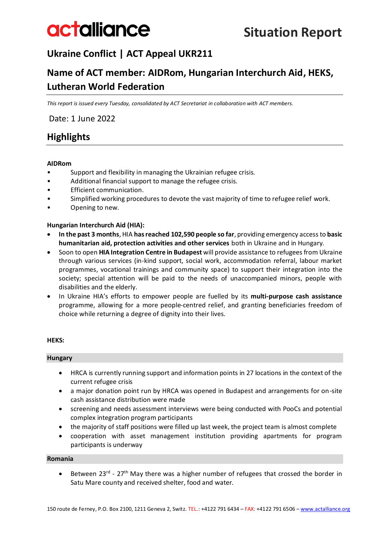# **Ukraine Conflict | ACT Appeal UKR211**

# **Name of ACT member: AIDRom, Hungarian Interchurch Aid, HEKS, Lutheran World Federation**

*This report is issued every Tuesday, consolidated by ACT Secretariat in collaboration with ACT members.*

Date: 1 June 2022

# **Highlights**

### **AIDRom**

- Support and flexibility in managing the Ukrainian refugee crisis.
- Additional financial support to manage the refugee crisis.
- Efficient communication.
- Simplified working procedures to devote the vast majority of time to refugee relief work.
- Opening to new.

## **Hungarian Interchurch Aid (HIA):**

- **In the past 3 months**, HIA **has reached 102,590 people so far**, providing emergency access to **basic humanitarian aid, protection activities and other services** both in Ukraine and in Hungary.
- Soon to open **HIA Integration Centre in Budapest** will provide assistance to refugees from Ukraine through various services (in-kind support, social work, accommodation referral, labour market programmes, vocational trainings and community space) to support their integration into the society; special attention will be paid to the needs of unaccompanied minors, people with disabilities and the elderly.
- In Ukraine HIA's efforts to empower people are fuelled by its **multi-purpose cash assistance** programme, allowing for a more people-centred relief, and granting beneficiaries freedom of choice while returning a degree of dignity into their lives.

### **HEKS:**

### **Hungary**

- HRCA is currently running support and information points in 27 locations in the context of the current refugee crisis
- a major donation point run by HRCA was opened in Budapest and arrangements for on-site cash assistance distribution were made
- screening and needs assessment interviews were being conducted with PooCs and potential complex integration program participants
- the majority of staff positions were filled up last week, the project team is almost complete
- cooperation with asset management institution providing apartments for program participants is underway

#### **Romania**

• Between 23<sup>rd</sup> - 27<sup>th</sup> May there was a higher number of refugees that crossed the border in Satu Mare county and received shelter, food and water.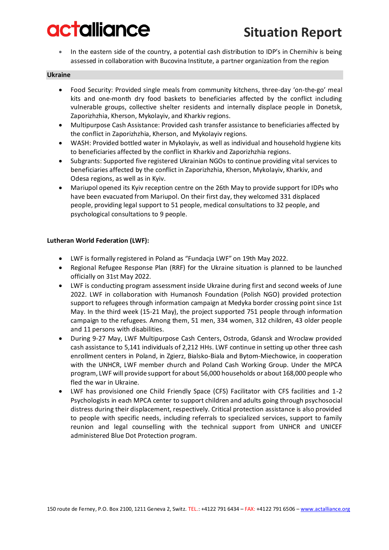• In the eastern side of the country, a potential cash distribution to IDP's in Chernihiv is being assessed in collaboration with Bucovina Institute, a partner organization from the region

#### **Ukraine**

- Food Security: Provided single meals from community kitchens, three-day 'on-the-go' meal kits and one-month dry food baskets to beneficiaries affected by the conflict including vulnerable groups, collective shelter residents and internally displace people in Donetsk, Zaporizhzhia, Kherson, Mykolayiv, and Kharkiv regions.
- Multipurpose Cash Assistance: Provided cash transfer assistance to beneficiaries affected by the conflict in Zaporizhzhia, Kherson, and Mykolayiv regions.
- WASH: Provided bottled water in Mykolayiv, as well as individual and household hygiene kits to beneficiaries affected by the conflict in Kharkiv and Zaporizhzhia regions.
- Subgrants: Supported five registered Ukrainian NGOs to continue providing vital services to beneficiaries affected by the conflict in Zaporizhzhia, Kherson, Mykolayiv, Kharkiv, and Odesa regions, as well as in Kyiv.
- Mariupol opened its Kyiv reception centre on the 26th May to provide support for IDPs who have been evacuated from Mariupol. On their first day, they welcomed 331 displaced people, providing legal support to 51 people, medical consultations to 32 people, and psychological consultations to 9 people.

#### **Lutheran World Federation (LWF):**

- LWF is formally registered in Poland as "Fundacja LWF" on 19th May 2022.
- Regional Refugee Response Plan (RRF) for the Ukraine situation is planned to be launched officially on 31st May 2022.
- LWF is conducting program assessment inside Ukraine during first and second weeks of June 2022. LWF in collaboration with Humanosh Foundation (Polish NGO) provided protection support to refugees through information campaign at Medyka border crossing point since 1st May. In the third week (15-21 May), the project supported 751 people through information campaign to the refugees. Among them, 51 men, 334 women, 312 children, 43 older people and 11 persons with disabilities.
- During 9-27 May, LWF Multipurpose Cash Centers, Ostroda, Gdansk and Wroclaw provided cash assistance to 5,141 individuals of 2,212 HHs. LWF continue in setting up other three cash enrollment centers in Poland, in Zgierz, Bialsko-Biala and Bytom-Miechowice, in cooperation with the UNHCR, LWF member church and Poland Cash Working Group. Under the MPCA program, LWF will provide support for about 56,000 households or about 168,000 people who fled the war in Ukraine.
- LWF has provisioned one Child Friendly Space (CFS) Facilitator with CFS facilities and 1-2 Psychologists in each MPCA center to support children and adults going through psychosocial distress during their displacement, respectively. Critical protection assistance is also provided to people with specific needs, including referrals to specialized services, support to family reunion and legal counselling with the technical support from UNHCR and UNICEF administered Blue Dot Protection program.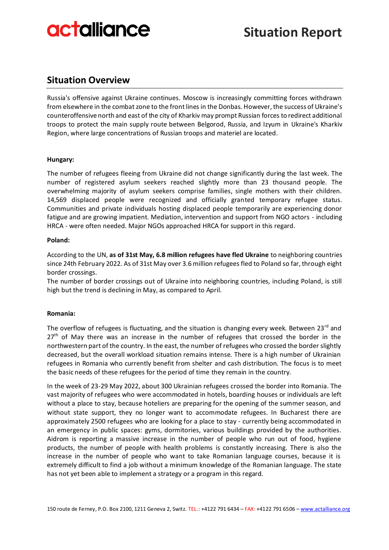# **Situation Overview**

Russia's offensive against Ukraine continues. Moscow is increasingly committing forces withdrawn from elsewhere in the combat zone to the front lines in the Donbas. However, the success of Ukraine's counteroffensive north and east of the city of Kharkiv may prompt Russian forces to redirect additional troops to protect the main supply route between Belgorod, Russia, and Izyum in Ukraine's Kharkiv Region, where large concentrations of Russian troops and materiel are located.

## **Hungary:**

The number of refugees fleeing from Ukraine did not change significantly during the last week. The number of registered asylum seekers reached slightly more than 23 thousand people. The overwhelming majority of asylum seekers comprise families, single mothers with their children. 14,569 displaced people were recognized and officially granted temporary refugee status. Communities and private individuals hosting displaced people temporarily are experiencing donor fatigue and are growing impatient. Mediation, intervention and support from NGO actors - including HRCA - were often needed. Major NGOs approached HRCA for support in this regard.

### **Poland:**

According to the UN, **as of 31st May, 6.8 million refugees have fled Ukraine** to neighboring countries since 24th February 2022. As of 31st May over 3.6 million refugees fled to Poland so far, through eight border crossings.

The number of border crossings out of Ukraine into neighboring countries, including Poland, is still high but the trend is declining in May, as compared to April.

### **Romania:**

The overflow of refugees is fluctuating, and the situation is changing every week. Between 23<sup>rd</sup> and  $27<sup>th</sup>$  of May there was an increase in the number of refugees that crossed the border in the northwestern part of the country. In the east, the number of refugees who crossed the border slightly decreased, but the overall workload situation remains intense. There is a high number of Ukrainian refugees in Romania who currently benefit from shelter and cash distribution. The focus is to meet the basic needs of these refugees for the period of time they remain in the country.

In the week of 23-29 May 2022, about 300 Ukrainian refugees crossed the border into Romania. The vast majority of refugees who were accommodated in hotels, boarding houses or individuals are left without a place to stay, because hoteliers are preparing for the opening of the summer season, and without state support, they no longer want to accommodate refugees. In Bucharest there are approximately 2500 refugees who are looking for a place to stay - currently being accommodated in an emergency in public spaces: gyms, dormitories, various buildings provided by the authorities. Aidrom is reporting a massive increase in the number of people who run out of food, hygiene products, the number of people with health problems is constantly increasing. There is also the increase in the number of people who want to take Romanian language courses, because it is extremely difficult to find a job without a minimum knowledge of the Romanian language. The state has not yet been able to implement a strategy or a program in this regard.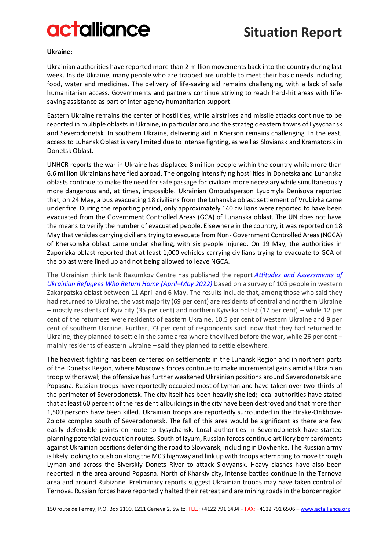# **Situation Report**

#### **Ukraine:**

Ukrainian authorities have reported more than 2 million movements back into the country during last week. Inside Ukraine, many people who are trapped are unable to meet their basic needs including food, water and medicines. The delivery of life-saving aid remains challenging, with a lack of safe humanitarian access. Governments and partners continue striving to reach hard-hit areas with lifesaving assistance as part of inter-agency humanitarian support.

Eastern Ukraine remains the center of hostilities, while airstrikes and missile attacks continue to be reported in multiple oblasts in Ukraine, in particular around the strategic eastern towns of Lysychansk and Severodonetsk. In southern Ukraine, delivering aid in Kherson remains challenging. In the east, access to Luhansk Oblast is very limited due to intense fighting, as well as Sloviansk and Kramatorsk in Donetsk Oblast.

UNHCR reports the war in Ukraine has displaced 8 million people within the country while more than 6.6 million Ukrainians have fled abroad. The ongoing intensifying hostilities in Donetska and Luhanska oblasts continue to make the need for safe passage for civilians more necessary while simultaneously more dangerous and, at times, impossible. Ukrainian Ombudsperson Lyudmyla Denisova reported that, on 24 May, a bus evacuating 18 civilians from the Luhanska oblast settlement of Vrubivka came under fire. During the reporting period, only approximately 140 civilians were reported to have been evacuated from the Government Controlled Areas (GCA) of Luhanska oblast. The UN does not have the means to verify the number of evacuated people. Elsewhere in the country, it was reported on 18 May that vehicles carrying civilians trying to evacuate from Non-Government Controlled Areas (NGCA) of Khersonska oblast came under shelling, with six people injured. On 19 May, the authorities in Zaporizka oblast reported that at least 1,000 vehicles carrying civilians trying to evacuate to GCA of the oblast were lined up and not being allowed to leave NGCA.

The Ukrainian think tank Razumkov Centre has published the report *[Attitudes and Assessments of](https://razumkov.org.ua/en/sociology/press-releases/attitudes-and-assessments-of-ukrainian-refugees-who-return-home-april-may-2022)  [Ukrainian Refugees Who Return Home \(April](https://razumkov.org.ua/en/sociology/press-releases/attitudes-and-assessments-of-ukrainian-refugees-who-return-home-april-may-2022)–May 2022)* based on a survey of 105 people in western Zakarpatska oblast between 11 April and 6 May. The results include that, among those who said they had returned to Ukraine, the vast majority (69 per cent) are residents of central and northern Ukraine – mostly residents of Kyiv city (35 per cent) and northern Kyivska oblast (17 per cent) – while 12 per cent of the returnees were residents of eastern Ukraine, 10.5 per cent of western Ukraine and 9 per cent of southern Ukraine. Further, 73 per cent of respondents said, now that they had returned to Ukraine, they planned to settle in the same area where they lived before the war, while 26 per cent – mainly residents of eastern Ukraine – said they planned to settle elsewhere.

The heaviest fighting has been centered on settlements in the Luhansk Region and in northern parts of the Donetsk Region, where Moscow's forces continue to make incremental gains amid a Ukrainian troop withdrawal; the offensive has further weakened Ukrainian positions around Severodonetsk and Popasna. Russian troops have reportedly occupied most of Lyman and have taken over two-thirds of the perimeter of Severodonetsk. The city itself has been heavily shelled; local authorities have stated that at least 60 percent of the residential buildings in the city have been destroyed and that more than 1,500 persons have been killed. Ukrainian troops are reportedly surrounded in the Hirske-Orikhove-Zolote complex south of Severodonetsk. The fall of this area would be significant as there are few easily defensible points en route to Lysychansk. Local authorities in Severodonetsk have started planning potential evacuation routes. South of Izyum, Russian forces continue artillery bombardments against Ukrainian positions defending the road to Slovyansk, including in Dovhenke. The Russian army is likely looking to push on along the M03 highway and link up with troops attempting to move through Lyman and across the Siverskiy Donets River to attack Slovyansk. Heavy clashes have also been reported in the area around Popasna. North of Kharkiv city, intense battles continue in the Ternova area and around Rubizhne. Preliminary reports suggest Ukrainian troops may have taken control of Ternova. Russian forces have reportedly halted their retreat and are mining roads in the border region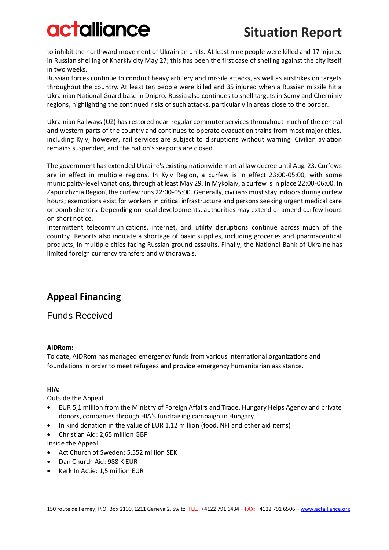to inhibit the northward movement of Ukrainian units. At least nine people were killed and 17 injured in Russian shelling of Kharkiv city May 27; this has been the first case of shelling against the city itself in two weeks.

Russian forces continue to conduct heavy artillery and missile attacks, as well as airstrikes on targets throughout the country. At least ten people were killed and 35 injured when a Russian missile hit a Ukrainian National Guard base in Dnipro. Russia also continues to shell targets in Sumy and Chernihiv regions, highlighting the continued risks of such attacks, particularly in areas close to the border.

Ukrainian Railways (UZ) has restored near-regular commuter services throughout much of the central and western parts of the country and continues to operate evacuation trains from most major cities, including Kyiv; however, rail services are subject to disruptions without warning. Civilian aviation remains suspended, and the nation's seaports are closed.

The government has extended Ukraine's existing nationwide martial law decree until Aug. 23. Curfews are in effect in multiple regions. In Kyiv Region, a curfew is in effect 23:00-05:00, with some municipality-level variations, through at least May 29. In Mykolaiv, a curfew is in place 22:00-06:00. In Zaporizhzhia Region, the curfew runs 22:00-05:00. Generally, civilians must stay indoors during curfew hours; exemptions exist for workers in critical infrastructure and persons seeking urgent medical care or bomb shelters. Depending on local developments, authorities may extend or amend curfew hours on short notice.

Intermittent telecommunications, internet, and utility disruptions continue across much of the country. Reports also indicate a shortage of basic supplies, including groceries and pharmaceutical products, in multiple cities facing Russian ground assaults. Finally, the National Bank of Ukraine has limited foreign currency transfers and withdrawals.

# **Appeal Financing**

## Funds Received

## **AIDRom:**

To date, AIDRom has managed emergency funds from various international organizations and foundations in order to meet refugees and provide emergency humanitarian assistance.

## **HIA:**

Outside the Appeal

- EUR 5,1 million from the Ministry of Foreign Affairs and Trade, Hungary Helps Agency and private donors, companies through HIA's fundraising campaign in Hungary
- In kind donation in the value of EUR 1,12 million (food, NFI and other aid items)
- Christian Aid: 2,65 million GBP

Inside the Appeal

- Act Church of Sweden: 5,552 million SEK
- Dan Church Aid: 988 K EUR
- Kerk In Actie: 1,5 million EUR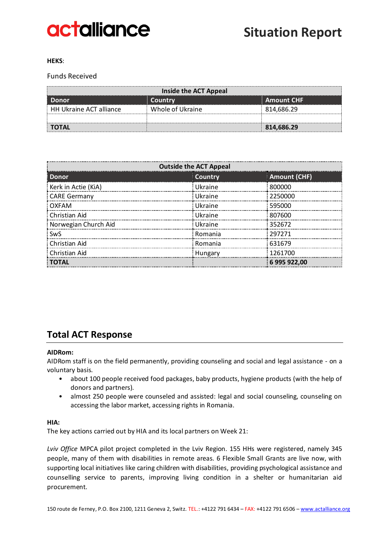

#### **HEKS**:

### Funds Received

| Inside the ACT Appeal                 |                  |            |  |  |  |  |  |
|---------------------------------------|------------------|------------|--|--|--|--|--|
| <b>Amount CHF</b><br>Country<br>Donor |                  |            |  |  |  |  |  |
| <b>HH Ukraine ACT alliance</b>        | Whole of Ukraine | 814,686.29 |  |  |  |  |  |
|                                       |                  |            |  |  |  |  |  |
| <b>TOTAL</b>                          |                  | 814,686.29 |  |  |  |  |  |

| <b>Outside the ACT Appeal</b> |         |                     |  |  |  |  |  |  |
|-------------------------------|---------|---------------------|--|--|--|--|--|--|
| <b>Donor</b>                  | Country | <b>Amount (CHF)</b> |  |  |  |  |  |  |
| Kerk in Actie (KiA)           | Ukraine | 800000              |  |  |  |  |  |  |
| CARE Germany                  | Ukraine | 2250000             |  |  |  |  |  |  |
| OXFAM                         | Ukraine | 595000              |  |  |  |  |  |  |
| Christian Aid                 | Ukraine | 807600              |  |  |  |  |  |  |
| Norwegian Church Aid          | Ukraine | 352672              |  |  |  |  |  |  |
| <b>SwS</b>                    | Romania | 297271              |  |  |  |  |  |  |
| : Christian Aid               | Romania | 631679              |  |  |  |  |  |  |
| <b>Christian Aid</b>          | Hungary | 1261700             |  |  |  |  |  |  |
| : ΤΟΤΑL                       |         | 6 995 922.00        |  |  |  |  |  |  |

## **Total ACT Response**

#### **AIDRom:**

AIDRom staff is on the field permanently, providing counseling and social and legal assistance - on a voluntary basis.

- about 100 people received food packages, baby products, hygiene products (with the help of donors and partners).
- almost 250 people were counseled and assisted: legal and social counseling, counseling on accessing the labor market, accessing rights in Romania.

#### **HIA:**

The key actions carried out by HIA and its local partners on Week 21:

*Lviv Office* MPCA pilot project completed in the Lviv Region. 155 HHs were registered, namely 345 people, many of them with disabilities in remote areas. 6 Flexible Small Grants are live now, with supporting local initiatives like caring children with disabilities, providing psychological assistance and counselling service to parents, improving living condition in a shelter or humanitarian aid procurement.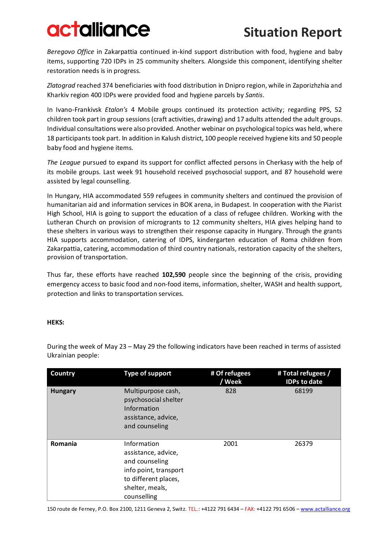*Beregovo Office* in Zakarpattia continued in-kind support distribution with food, hygiene and baby items, supporting 720 IDPs in 25 community shelters. Alongside this component, identifying shelter restoration needs is in progress.

*Zlatograd* reached 374 beneficiaries with food distribution in Dnipro region, while in Zaporizhzhia and Kharkiv region 400 IDPs were provided food and hygiene parcels by *Santis*.

In Ivano-Frankivsk *Etalon's* 4 Mobile groups continued its protection activity; regarding PPS, 52 children took part in group sessions (craft activities, drawing) and 17 adults attended the adult groups. Individual consultations were also provided. Another webinar on psychological topics was held, where 18 participants took part. In addition in Kalush district, 100 people received hygiene kits and 50 people baby food and hygiene items.

*The League* pursued to expand its support for conflict affected persons in Cherkasy with the help of its mobile groups. Last week 91 household received psychosocial support, and 87 household were assisted by legal counselling.

In Hungary, HIA accommodated 559 refugees in community shelters and continued the provision of humanitarian aid and information services in BOK arena, in Budapest. In cooperation with the Piarist High School, HIA is going to support the education of a class of refugee children. Working with the Lutheran Church on provision of microgrants to 12 community shelters, HIA gives helping hand to these shelters in various ways to strengthen their response capacity in Hungary. Through the grants HIA supports accommodation, catering of IDPS, kindergarten education of Roma children from Zakarpattia, catering, accommodation of third country nationals, restoration capacity of the shelters, provision of transportation.

Thus far, these efforts have reached **102,590** people since the beginning of the crisis, providing emergency access to basic food and non-food items, information, shelter, WASH and health support, protection and links to transportation services.

### **HEKS:**

During the week of May 23 – May 29 the following indicators have been reached in terms of assisted Ukrainian people:

| Country        | <b>Type of support</b>                                                                                                                  | # Of refugees<br>/ Week | # Total refugees /<br><b>IDPs to date</b> |
|----------------|-----------------------------------------------------------------------------------------------------------------------------------------|-------------------------|-------------------------------------------|
| <b>Hungary</b> | Multipurpose cash,<br>psychosocial shelter<br>Information<br>assistance, advice,<br>and counseling                                      | 828                     | 68199                                     |
| Romania        | Information<br>assistance, advice,<br>and counseling<br>info point, transport<br>to different places,<br>shelter, meals,<br>counselling | 2001                    | 26379                                     |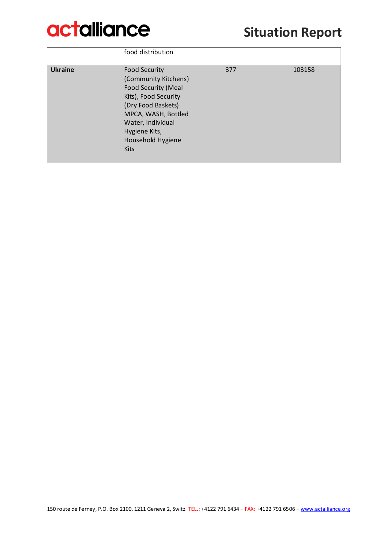# **Situation Report**

|                | food distribution                                                                                                                                                                                                         |     |        |
|----------------|---------------------------------------------------------------------------------------------------------------------------------------------------------------------------------------------------------------------------|-----|--------|
| <b>Ukraine</b> | <b>Food Security</b><br>(Community Kitchens)<br><b>Food Security (Meal</b><br>Kits), Food Security<br>(Dry Food Baskets)<br>MPCA, WASH, Bottled<br>Water, Individual<br>Hygiene Kits,<br>Household Hygiene<br><b>Kits</b> | 377 | 103158 |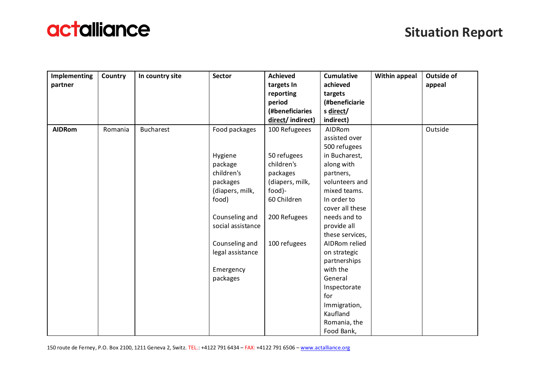

| Implementing  | Country | In country site  | Sector            | <b>Achieved</b>  | <b>Cumulative</b> | <b>Within appeal</b> | <b>Outside of</b> |
|---------------|---------|------------------|-------------------|------------------|-------------------|----------------------|-------------------|
| partner       |         |                  |                   | targets In       | achieved          |                      | appeal            |
|               |         |                  |                   | reporting        | targets           |                      |                   |
|               |         |                  |                   | period           | (#beneficiarie    |                      |                   |
|               |         |                  |                   | (#beneficiaries  | s direct/         |                      |                   |
|               |         |                  |                   | direct/indirect) | indirect)         |                      |                   |
| <b>AIDRom</b> | Romania | <b>Bucharest</b> | Food packages     | 100 Refugeees    | AIDRom            |                      | Outside           |
|               |         |                  |                   |                  | assisted over     |                      |                   |
|               |         |                  |                   |                  | 500 refugees      |                      |                   |
|               |         |                  | Hygiene           | 50 refugees      | in Bucharest,     |                      |                   |
|               |         |                  | package           | children's       | along with        |                      |                   |
|               |         |                  | children's        | packages         | partners,         |                      |                   |
|               |         |                  | packages          | (diapers, milk,  | volunteers and    |                      |                   |
|               |         |                  | (diapers, milk,   | food)-           | mixed teams.      |                      |                   |
|               |         |                  | food)             | 60 Children      | In order to       |                      |                   |
|               |         |                  |                   |                  | cover all these   |                      |                   |
|               |         |                  | Counseling and    | 200 Refugees     | needs and to      |                      |                   |
|               |         |                  | social assistance |                  | provide all       |                      |                   |
|               |         |                  |                   |                  | these services,   |                      |                   |
|               |         |                  | Counseling and    | 100 refugees     | AIDRom relied     |                      |                   |
|               |         |                  | legal assistance  |                  | on strategic      |                      |                   |
|               |         |                  |                   |                  | partnerships      |                      |                   |
|               |         |                  | Emergency         |                  | with the          |                      |                   |
|               |         |                  | packages          |                  | General           |                      |                   |
|               |         |                  |                   |                  | Inspectorate      |                      |                   |
|               |         |                  |                   |                  | for               |                      |                   |
|               |         |                  |                   |                  | Immigration,      |                      |                   |
|               |         |                  |                   |                  | Kaufland          |                      |                   |
|               |         |                  |                   |                  | Romania, the      |                      |                   |
|               |         |                  |                   |                  | Food Bank,        |                      |                   |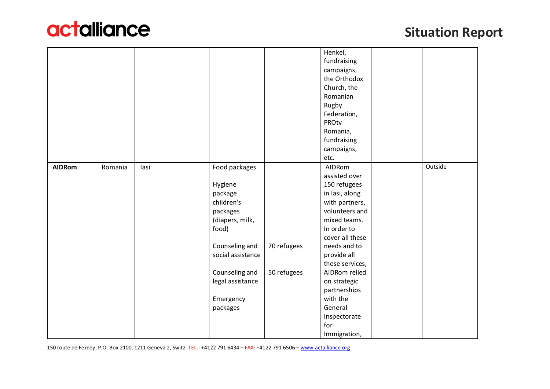

|               |         |      |                   |             | Henkel,         |         |
|---------------|---------|------|-------------------|-------------|-----------------|---------|
|               |         |      |                   |             | fundraising     |         |
|               |         |      |                   |             | campaigns,      |         |
|               |         |      |                   |             | the Orthodox    |         |
|               |         |      |                   |             | Church, the     |         |
|               |         |      |                   |             | Romanian        |         |
|               |         |      |                   |             | Rugby           |         |
|               |         |      |                   |             | Federation,     |         |
|               |         |      |                   |             | PROtv           |         |
|               |         |      |                   |             | Romania,        |         |
|               |         |      |                   |             | fundraising     |         |
|               |         |      |                   |             | campaigns,      |         |
|               |         |      |                   |             | etc.            |         |
| <b>AIDRom</b> | Romania | lasi | Food packages     |             | AIDRom          | Outside |
|               |         |      |                   |             | assisted over   |         |
|               |         |      | Hygiene           |             | 150 refugees    |         |
|               |         |      | package           |             | in Iasi, along  |         |
|               |         |      | children's        |             | with partners,  |         |
|               |         |      | packages          |             | volunteers and  |         |
|               |         |      | (diapers, milk,   |             | mixed teams.    |         |
|               |         |      | food)             |             | In order to     |         |
|               |         |      |                   |             | cover all these |         |
|               |         |      | Counseling and    | 70 refugees | needs and to    |         |
|               |         |      | social assistance |             | provide all     |         |
|               |         |      |                   |             | these services, |         |
|               |         |      | Counseling and    | 50 refugees | AIDRom relied   |         |
|               |         |      | legal assistance  |             | on strategic    |         |
|               |         |      |                   |             | partnerships    |         |
|               |         |      | Emergency         |             | with the        |         |
|               |         |      | packages          |             | General         |         |
|               |         |      |                   |             | Inspectorate    |         |
|               |         |      |                   |             | for             |         |
|               |         |      |                   |             | Immigration,    |         |

150 route de Ferney, P.O. Box 2100, 1211 Geneva 2, Switz. TEL.: +4122 791 6434 – FAX: +4122 791 6506 – [www.actalliance.org](http://www.actalliance.org/)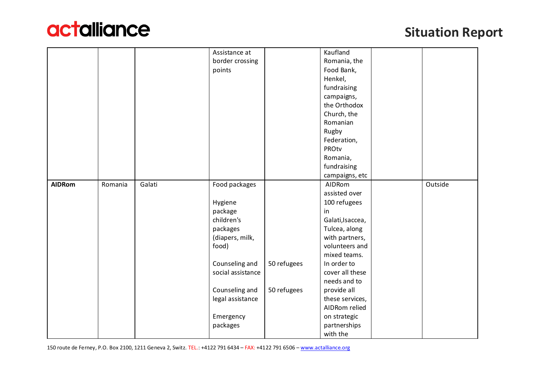

|               |         |        | Assistance at     |             | Kaufland         |         |
|---------------|---------|--------|-------------------|-------------|------------------|---------|
|               |         |        | border crossing   |             | Romania, the     |         |
|               |         |        | points            |             | Food Bank,       |         |
|               |         |        |                   |             | Henkel,          |         |
|               |         |        |                   |             | fundraising      |         |
|               |         |        |                   |             | campaigns,       |         |
|               |         |        |                   |             | the Orthodox     |         |
|               |         |        |                   |             | Church, the      |         |
|               |         |        |                   |             | Romanian         |         |
|               |         |        |                   |             | Rugby            |         |
|               |         |        |                   |             | Federation,      |         |
|               |         |        |                   |             | PROtv            |         |
|               |         |        |                   |             | Romania,         |         |
|               |         |        |                   |             | fundraising      |         |
|               |         |        |                   |             | campaigns, etc   |         |
| <b>AIDRom</b> | Romania | Galati | Food packages     |             | AIDRom           | Outside |
|               |         |        |                   |             | assisted over    |         |
|               |         |        | Hygiene           |             | 100 refugees     |         |
|               |         |        | package           |             | in               |         |
|               |         |        | children's        |             | Galati, Isaccea, |         |
|               |         |        | packages          |             | Tulcea, along    |         |
|               |         |        | (diapers, milk,   |             | with partners,   |         |
|               |         |        | food)             |             | volunteers and   |         |
|               |         |        |                   |             | mixed teams.     |         |
|               |         |        | Counseling and    | 50 refugees | In order to      |         |
|               |         |        | social assistance |             | cover all these  |         |
|               |         |        |                   |             | needs and to     |         |
|               |         |        | Counseling and    | 50 refugees | provide all      |         |
|               |         |        | legal assistance  |             | these services,  |         |
|               |         |        |                   |             | AIDRom relied    |         |
|               |         |        | Emergency         |             | on strategic     |         |
|               |         |        | packages          |             | partnerships     |         |
|               |         |        |                   |             | with the         |         |

150 route de Ferney, P.O. Box 2100, 1211 Geneva 2, Switz. TEL.: +4122 791 6434 – FAX: +4122 791 6506 – [www.actalliance.org](http://www.actalliance.org/)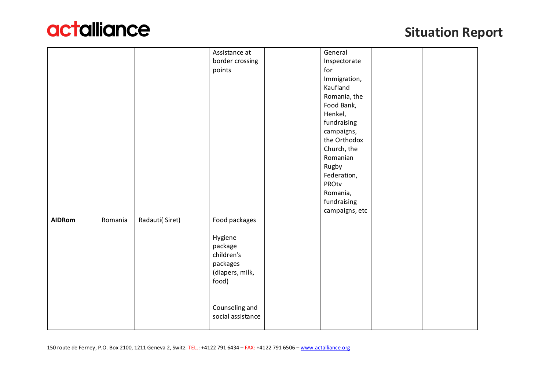

|               |         |                | Assistance at     | General        |  |
|---------------|---------|----------------|-------------------|----------------|--|
|               |         |                | border crossing   | Inspectorate   |  |
|               |         |                | points            | for            |  |
|               |         |                |                   | Immigration,   |  |
|               |         |                |                   | Kaufland       |  |
|               |         |                |                   | Romania, the   |  |
|               |         |                |                   | Food Bank,     |  |
|               |         |                |                   | Henkel,        |  |
|               |         |                |                   | fundraising    |  |
|               |         |                |                   | campaigns,     |  |
|               |         |                |                   | the Orthodox   |  |
|               |         |                |                   | Church, the    |  |
|               |         |                |                   | Romanian       |  |
|               |         |                |                   | Rugby          |  |
|               |         |                |                   | Federation,    |  |
|               |         |                |                   | PROtv          |  |
|               |         |                |                   | Romania,       |  |
|               |         |                |                   | fundraising    |  |
|               |         |                |                   | campaigns, etc |  |
| <b>AIDRom</b> | Romania | Radauti(Siret) | Food packages     |                |  |
|               |         |                |                   |                |  |
|               |         |                | Hygiene           |                |  |
|               |         |                | package           |                |  |
|               |         |                | children's        |                |  |
|               |         |                | packages          |                |  |
|               |         |                | (diapers, milk,   |                |  |
|               |         |                | food)             |                |  |
|               |         |                |                   |                |  |
|               |         |                |                   |                |  |
|               |         |                | Counseling and    |                |  |
|               |         |                | social assistance |                |  |
|               |         |                |                   |                |  |
|               |         |                |                   |                |  |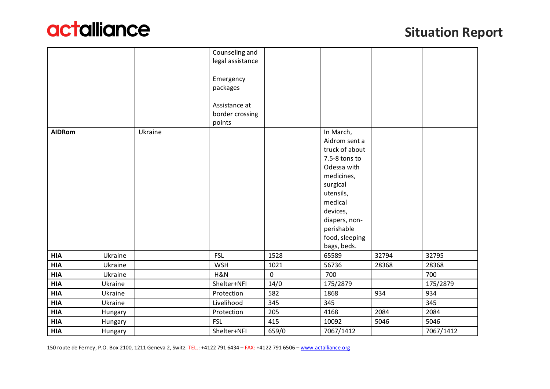

|               |         |         | Counseling and<br>legal assistance<br>Emergency<br>packages |                     |                                                                                                                                                                                                            |       |           |
|---------------|---------|---------|-------------------------------------------------------------|---------------------|------------------------------------------------------------------------------------------------------------------------------------------------------------------------------------------------------------|-------|-----------|
|               |         |         | Assistance at<br>border crossing<br>points                  |                     |                                                                                                                                                                                                            |       |           |
| <b>AIDRom</b> |         | Ukraine |                                                             |                     | In March,<br>Aidrom sent a<br>truck of about<br>7.5-8 tons to<br>Odessa with<br>medicines,<br>surgical<br>utensils,<br>medical<br>devices,<br>diapers, non-<br>perishable<br>food, sleeping<br>bags, beds. |       |           |
| <b>HIA</b>    | Ukraine |         | <b>FSL</b>                                                  | 1528                | 65589                                                                                                                                                                                                      | 32794 | 32795     |
| <b>HIA</b>    | Ukraine |         | <b>WSH</b>                                                  | 1021                | 56736                                                                                                                                                                                                      | 28368 | 28368     |
| <b>HIA</b>    | Ukraine |         | H&N                                                         | $\mathsf{O}\xspace$ | 700                                                                                                                                                                                                        |       | 700       |
| <b>HIA</b>    | Ukraine |         | Shelter+NFI                                                 | 14/0                | 175/2879                                                                                                                                                                                                   |       | 175/2879  |
| <b>HIA</b>    | Ukraine |         | Protection                                                  | 582                 | 1868                                                                                                                                                                                                       | 934   | 934       |
| <b>HIA</b>    | Ukraine |         | Livelihood                                                  | 345                 | 345                                                                                                                                                                                                        |       | 345       |
| <b>HIA</b>    | Hungary |         | Protection                                                  | 205                 | 4168                                                                                                                                                                                                       | 2084  | 2084      |
| <b>HIA</b>    | Hungary |         | <b>FSL</b>                                                  | 415                 | 10092                                                                                                                                                                                                      | 5046  | 5046      |
| <b>HIA</b>    | Hungary |         | Shelter+NFI                                                 | 659/0               | 7067/1412                                                                                                                                                                                                  |       | 7067/1412 |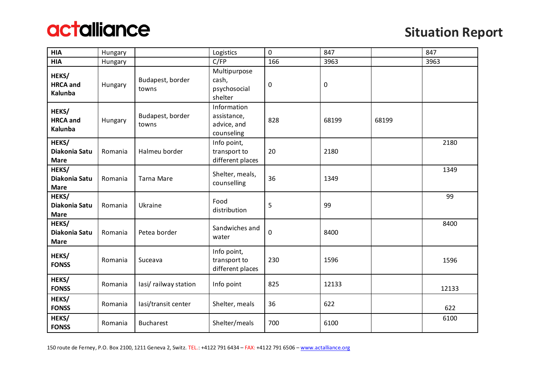

| <b>HIA</b>                            | Hungary        |                           | Logistics                                               | 0   | 847       |       | 847   |
|---------------------------------------|----------------|---------------------------|---------------------------------------------------------|-----|-----------|-------|-------|
| <b>HIA</b>                            | <b>Hungary</b> |                           | $C$ /FP                                                 | 166 | 3963      |       | 3963  |
| HEKS/<br><b>HRCA</b> and<br>Kalunba   | Hungary        | Budapest, border<br>towns | Multipurpose<br>cash,<br>psychosocial<br>shelter        | 0   | $\pmb{0}$ |       |       |
| HEKS/<br><b>HRCA</b> and<br>Kalunba   | Hungary        | Budapest, border<br>towns | Information<br>assistance,<br>advice, and<br>counseling | 828 | 68199     | 68199 |       |
| HEKS/<br>Diakonia Satu<br><b>Mare</b> | Romania        | Halmeu border             | Info point,<br>transport to<br>different places         | 20  | 2180      |       | 2180  |
| HEKS/<br>Diakonia Satu<br><b>Mare</b> | Romania        | <b>Tarna Mare</b>         | Shelter, meals,<br>counselling                          | 36  | 1349      |       | 1349  |
| HEKS/<br>Diakonia Satu<br><b>Mare</b> | Romania        | Ukraine                   | Food<br>distribution                                    | 5   | 99        |       | 99    |
| HEKS/<br>Diakonia Satu<br><b>Mare</b> | Romania        | Petea border              | Sandwiches and<br>water                                 | 0   | 8400      |       | 8400  |
| HEKS/<br><b>FONSS</b>                 | Romania        | Suceava                   | Info point,<br>transport to<br>different places         | 230 | 1596      |       | 1596  |
| HEKS/<br><b>FONSS</b>                 | Romania        | lasi/railway station      | Info point                                              | 825 | 12133     |       | 12133 |
| HEKS/<br><b>FONSS</b>                 | Romania        | lasi/transit center       | Shelter, meals                                          | 36  | 622       |       | 622   |
| HEKS/<br><b>FONSS</b>                 | Romania        | <b>Bucharest</b>          | Shelter/meals                                           | 700 | 6100      |       | 6100  |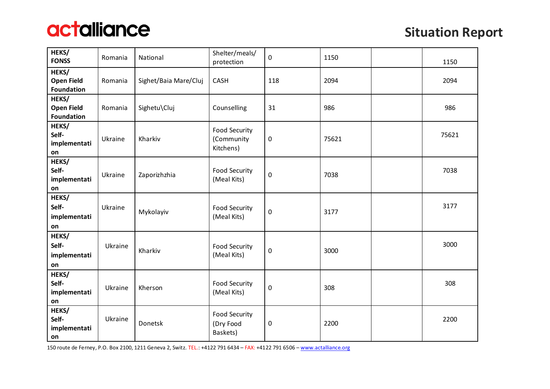

| HEKS/<br><b>FONSS</b>                           | Romania | National              | Shelter/meals/<br>protection                    | 0           | 1150  | 1150  |
|-------------------------------------------------|---------|-----------------------|-------------------------------------------------|-------------|-------|-------|
| HEKS/<br><b>Open Field</b><br><b>Foundation</b> | Romania | Sighet/Baia Mare/Cluj | CASH                                            | 118         | 2094  | 2094  |
| HEKS/<br><b>Open Field</b><br><b>Foundation</b> | Romania | Sighetu\Cluj          | Counselling                                     | 31          | 986   | 986   |
| HEKS/<br>Self-<br>implementati<br>on            | Ukraine | Kharkiv               | <b>Food Security</b><br>(Community<br>Kitchens) | 0           | 75621 | 75621 |
| HEKS/<br>Self-<br>implementati<br>on            | Ukraine | Zaporizhzhia          | <b>Food Security</b><br>(Meal Kits)             | 0           | 7038  | 7038  |
| HEKS/<br>Self-<br>implementati<br>on            | Ukraine | Mykolayiv             | Food Security<br>(Meal Kits)                    | $\mathbf 0$ | 3177  | 3177  |
| HEKS/<br>Self-<br>implementati<br>on            | Ukraine | Kharkiv               | <b>Food Security</b><br>(Meal Kits)             | $\pmb{0}$   | 3000  | 3000  |
| HEKS/<br>Self-<br>implementati<br>on            | Ukraine | Kherson               | <b>Food Security</b><br>(Meal Kits)             | $\mathbf 0$ | 308   | 308   |
| HEKS/<br>Self-<br>implementati<br>on            | Ukraine | Donetsk               | <b>Food Security</b><br>(Dry Food<br>Baskets)   | $\pmb{0}$   | 2200  | 2200  |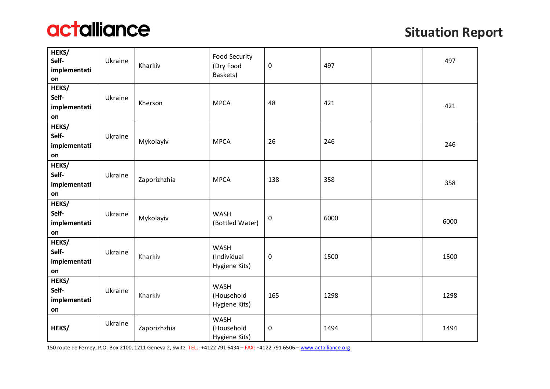

| HEKS/<br>Self-<br>implementati<br>on | Ukraine | Kharkiv      | <b>Food Security</b><br>(Dry Food<br>Baskets) | 0         | 497  | 497  |
|--------------------------------------|---------|--------------|-----------------------------------------------|-----------|------|------|
| HEKS/<br>Self-<br>implementati<br>on | Ukraine | Kherson      | <b>MPCA</b>                                   | 48        | 421  | 421  |
| HEKS/<br>Self-<br>implementati<br>on | Ukraine | Mykolayiv    | <b>MPCA</b>                                   | 26        | 246  | 246  |
| HEKS/<br>Self-<br>implementati<br>on | Ukraine | Zaporizhzhia | <b>MPCA</b>                                   | 138       | 358  | 358  |
| HEKS/<br>Self-<br>implementati<br>on | Ukraine | Mykolayiv    | <b>WASH</b><br>(Bottled Water)                | 0         | 6000 | 6000 |
| HEKS/<br>Self-<br>implementati<br>on | Ukraine | Kharkiv      | <b>WASH</b><br>(Individual<br>Hygiene Kits)   | 0         | 1500 | 1500 |
| HEKS/<br>Self-<br>implementati<br>on | Ukraine | Kharkiv      | WASH<br>(Household<br>Hygiene Kits)           | 165       | 1298 | 1298 |
| HEKS/                                | Ukraine | Zaporizhzhia | <b>WASH</b><br>(Household<br>Hygiene Kits)    | $\pmb{0}$ | 1494 | 1494 |

150 route de Ferney, P.O. Box 2100, 1211 Geneva 2, Switz. TEL.: +4122 791 6434 – FAX: +4122 791 6506 – [www.actalliance.org](http://www.actalliance.org/)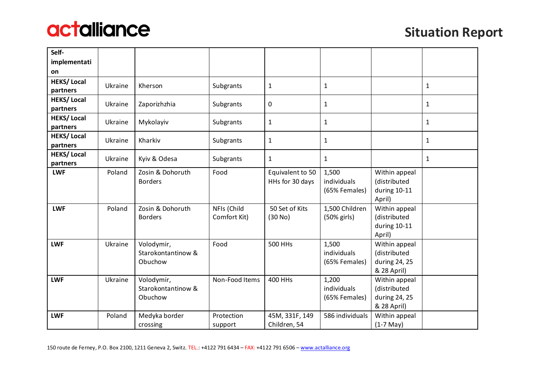

| Self-                         |         |                                             |                             |                                     |                                       |                                                               |              |
|-------------------------------|---------|---------------------------------------------|-----------------------------|-------------------------------------|---------------------------------------|---------------------------------------------------------------|--------------|
| implementati                  |         |                                             |                             |                                     |                                       |                                                               |              |
| on                            |         |                                             |                             |                                     |                                       |                                                               |              |
| <b>HEKS/Local</b><br>partners | Ukraine | Kherson                                     | Subgrants                   | 1                                   | $\mathbf{1}$                          |                                                               | $\mathbf{1}$ |
| <b>HEKS/Local</b><br>partners | Ukraine | Zaporizhzhia                                | Subgrants                   | $\boldsymbol{0}$                    | $\mathbf{1}$                          |                                                               | $\mathbf{1}$ |
| <b>HEKS/Local</b><br>partners | Ukraine | Mykolayiv                                   | Subgrants                   | $\mathbf{1}$                        | $\mathbf{1}$                          |                                                               | $\mathbf{1}$ |
| <b>HEKS/Local</b><br>partners | Ukraine | Kharkiv                                     | Subgrants                   | $\mathbf{1}$                        | $\mathbf{1}$                          |                                                               | $\mathbf{1}$ |
| <b>HEKS/Local</b><br>partners | Ukraine | Kyiv & Odesa                                | Subgrants                   | $\mathbf{1}$                        | $\mathbf{1}$                          |                                                               | $\mathbf{1}$ |
| <b>LWF</b>                    | Poland  | Zosin & Dohoruth<br><b>Borders</b>          | Food                        | Equivalent to 50<br>HHs for 30 days | 1,500<br>individuals<br>(65% Females) | Within appeal<br>(distributed<br>during 10-11<br>April)       |              |
| <b>LWF</b>                    | Poland  | Zosin & Dohoruth<br><b>Borders</b>          | NFIs (Child<br>Comfort Kit) | 50 Set of Kits<br>(30 No)           | 1,500 Children<br>(50% girls)         | Within appeal<br>(distributed<br>during 10-11<br>April)       |              |
| <b>LWF</b>                    | Ukraine | Volodymir,<br>Starokontantinow &<br>Obuchow | Food                        | <b>500 HHs</b>                      | 1,500<br>individuals<br>(65% Females) | Within appeal<br>(distributed<br>during 24, 25<br>& 28 April) |              |
| <b>LWF</b>                    | Ukraine | Volodymir,<br>Starokontantinow &<br>Obuchow | Non-Food Items              | 400 HHs                             | 1,200<br>individuals<br>(65% Females) | Within appeal<br>(distributed<br>during 24, 25<br>& 28 April) |              |
| <b>LWF</b>                    | Poland  | Medyka border<br>crossing                   | Protection<br>support       | 45M, 331F, 149<br>Children, 54      | 586 individuals                       | Within appeal<br>$(1-7$ May)                                  |              |